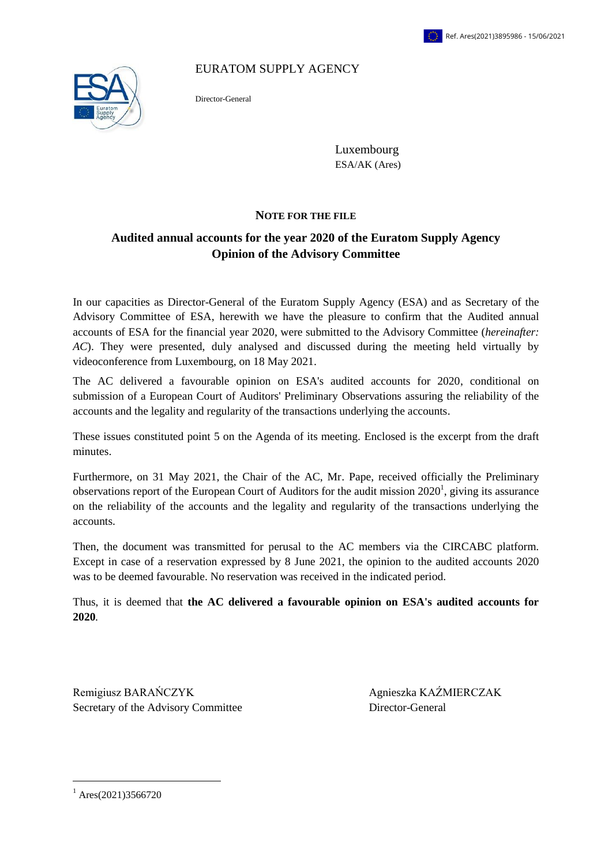EURATOM SUPPLY AGENCY



Director-General

Luxembourg ESA/AK (Ares)

#### **NOTE FOR THE FILE**

## **Audited annual accounts for the year 2020 of the Euratom Supply Agency Opinion of the Advisory Committee**

In our capacities as Director-General of the Euratom Supply Agency (ESA) and as Secretary of the Advisory Committee of ESA, herewith we have the pleasure to confirm that the Audited annual accounts of ESA for the financial year 2020, were submitted to the Advisory Committee (*hereinafter: AC*). They were presented, duly analysed and discussed during the meeting held virtually by videoconference from Luxembourg, on 18 May 2021.

The AC delivered a favourable opinion on ESA's audited accounts for 2020, conditional on submission of a European Court of Auditors' Preliminary Observations assuring the reliability of the accounts and the legality and regularity of the transactions underlying the accounts.

These issues constituted point 5 on the Agenda of its meeting. Enclosed is the excerpt from the draft minutes.

Furthermore, on 31 May 2021, the Chair of the AC, Mr. Pape, received officially the Preliminary observations report of the European Court of Auditors for the audit mission  $2020<sup>1</sup>$ , giving its assurance on the reliability of the accounts and the legality and regularity of the transactions underlying the accounts.

Then, the document was transmitted for perusal to the AC members via the CIRCABC platform. Except in case of a reservation expressed by 8 June 2021, the opinion to the audited accounts 2020 was to be deemed favourable. No reservation was received in the indicated period.

Thus, it is deemed that **the AC delivered a favourable opinion on ESA's audited accounts for 2020***.*

Remigiusz BARAŃCZYK Agnieszka KAŹMIERCZAK Secretary of the Advisory Committee Director-General

 $1$  Ares(2021)3566720

 $\overline{\phantom{a}}$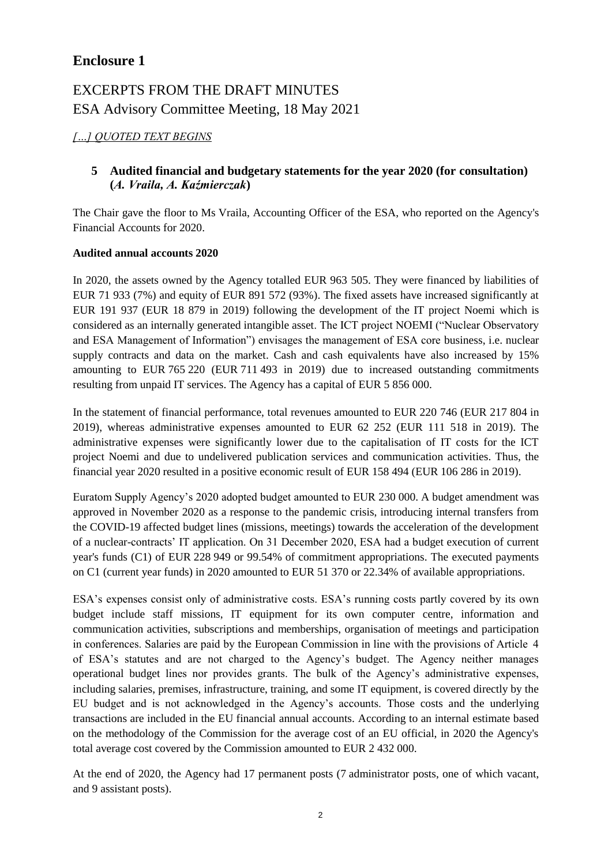## **Enclosure 1**

# EXCERPTS FROM THE DRAFT MINUTES ESA Advisory Committee Meeting, 18 May 2021

## *[…] QUOTED TEXT BEGINS*

## **5 Audited financial and budgetary statements for the year 2020 (for consultation) (***A. Vraila, A. Kaźmierczak***)**

The Chair gave the floor to Ms Vraila, Accounting Officer of the ESA, who reported on the Agency's Financial Accounts for 2020.

#### **Audited annual accounts 2020**

In 2020, the assets owned by the Agency totalled EUR 963 505. They were financed by liabilities of EUR 71 933 (7%) and equity of EUR 891 572 (93%). The fixed assets have increased significantly at EUR 191 937 (EUR 18 879 in 2019) following the development of the IT project Noemi which is considered as an internally generated intangible asset. The ICT project NOEMI ("Nuclear Observatory and ESA Management of Information") envisages the management of ESA core business, i.e. nuclear supply contracts and data on the market. Cash and cash equivalents have also increased by 15% amounting to EUR 765 220 (EUR 711 493 in 2019) due to increased outstanding commitments resulting from unpaid IT services. The Agency has a capital of EUR 5 856 000.

In the statement of financial performance, total revenues amounted to EUR 220 746 (EUR 217 804 in 2019), whereas administrative expenses amounted to EUR 62 252 (EUR 111 518 in 2019). The administrative expenses were significantly lower due to the capitalisation of IT costs for the ICT project Noemi and due to undelivered publication services and communication activities. Thus, the financial year 2020 resulted in a positive economic result of EUR 158 494 (EUR 106 286 in 2019).

Euratom Supply Agency's 2020 adopted budget amounted to EUR 230 000. A budget amendment was approved in November 2020 as a response to the pandemic crisis, introducing internal transfers from the COVID-19 affected budget lines (missions, meetings) towards the acceleration of the development of a nuclear-contracts' IT application. On 31 December 2020, ESA had a budget execution of current year's funds (C1) of EUR 228 949 or 99.54% of commitment appropriations. The executed payments on C1 (current year funds) in 2020 amounted to EUR 51 370 or 22.34% of available appropriations.

ESA's expenses consist only of administrative costs. ESA's running costs partly covered by its own budget include staff missions, IT equipment for its own computer centre, information and communication activities, subscriptions and memberships, organisation of meetings and participation in conferences. Salaries are paid by the European Commission in line with the provisions of Article  4 of ESA's statutes and are not charged to the Agency's budget. The Agency neither manages operational budget lines nor provides grants. The bulk of the Agency's administrative expenses, including salaries, premises, infrastructure, training, and some IT equipment, is covered directly by the EU budget and is not acknowledged in the Agency's accounts. Those costs and the underlying transactions are included in the EU financial annual accounts. According to an internal estimate based on the methodology of the Commission for the average cost of an EU official, in 2020 the Agency's total average cost covered by the Commission amounted to EUR 2 432 000.

At the end of 2020, the Agency had 17 permanent posts (7 administrator posts, one of which vacant, and 9 assistant posts).